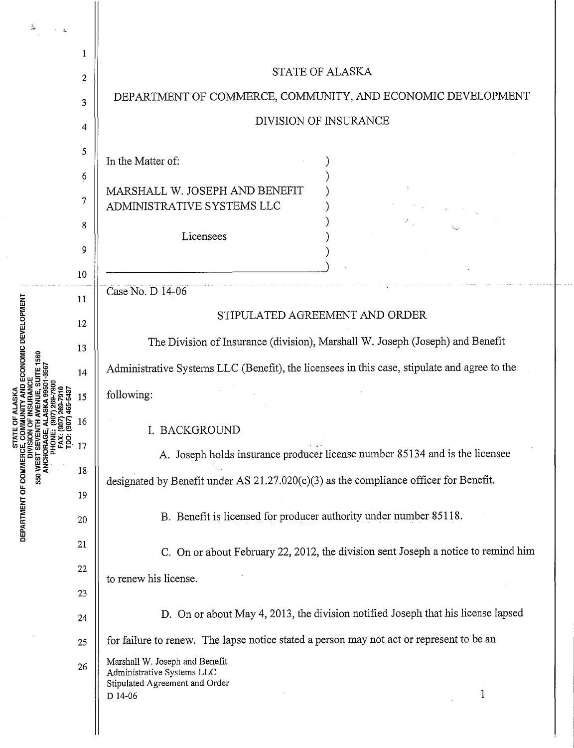|                                                                                                                                                                     | 1  |                                                                                              |
|---------------------------------------------------------------------------------------------------------------------------------------------------------------------|----|----------------------------------------------------------------------------------------------|
|                                                                                                                                                                     | 2  | <b>STATE OF ALASKA</b>                                                                       |
|                                                                                                                                                                     | 3  | DEPARTMENT OF COMMERCE, COMMUNITY, AND ECONOMIC DEVELOPMENT                                  |
|                                                                                                                                                                     | 4  | DIVISION OF INSURANCE                                                                        |
|                                                                                                                                                                     | 5  | In the Matter of:                                                                            |
|                                                                                                                                                                     | 6  |                                                                                              |
|                                                                                                                                                                     | 7  | MARSHALL W. JOSEPH AND BENEFIT<br>ADMINISTRATIVE SYSTEMS LLC                                 |
|                                                                                                                                                                     | 8  |                                                                                              |
|                                                                                                                                                                     |    | Licensees                                                                                    |
|                                                                                                                                                                     | 9  |                                                                                              |
|                                                                                                                                                                     | 10 |                                                                                              |
|                                                                                                                                                                     | 11 | Case No. D 14-06                                                                             |
|                                                                                                                                                                     | 12 | STIPULATED AGREEMENT AND ORDER                                                               |
|                                                                                                                                                                     | 13 | The Division of Insurance (division), Marshall W. Joseph (Joseph) and Benefit                |
| <b>ECONOMIC DEVELOPMENT</b><br>DEPARTMENT OF COMMERCE, COM<br>DIVISION<br>550 WEST SEVEN<br>550 WEST SEVEN<br><b>ANCHORAGE,<br/>PHONE:<br/>FAX: (E<br/>TDD: (6)</b> | 14 | Administrative Systems LLC (Benefit), the licensees in this case, stipulate and agree to the |
|                                                                                                                                                                     | 15 | following:                                                                                   |
|                                                                                                                                                                     | 16 | I. BACKGROUND                                                                                |
|                                                                                                                                                                     | 17 | A. Joseph holds insurance producer license number 85134 and is the licensee                  |
|                                                                                                                                                                     | 18 | designated by Benefit under AS $21.27.020(c)(3)$ as the compliance officer for Benefit.      |
|                                                                                                                                                                     | 19 |                                                                                              |
|                                                                                                                                                                     | 20 | B. Benefit is licensed for producer authority under number 85118.                            |
|                                                                                                                                                                     | 21 | C. On or about February 22, 2012, the division sent Joseph a notice to remind him            |
|                                                                                                                                                                     | 22 | to renew his license.                                                                        |
|                                                                                                                                                                     | 23 |                                                                                              |
|                                                                                                                                                                     | 24 | D. On or about May 4, 2013, the division notified Joseph that his license lapsed             |
|                                                                                                                                                                     | 25 | for failure to renew. The lapse notice stated a person may not act or represent to be an     |
|                                                                                                                                                                     | 26 | Marshall W. Joseph and Benefit<br>Administrative Systems LLC                                 |
|                                                                                                                                                                     |    | Stipulated Agreement and Order<br>1<br>D 14-06                                               |
|                                                                                                                                                                     |    |                                                                                              |
|                                                                                                                                                                     |    |                                                                                              |

 $\ddotsc$ 

. . .

 $\frac{1}{2}$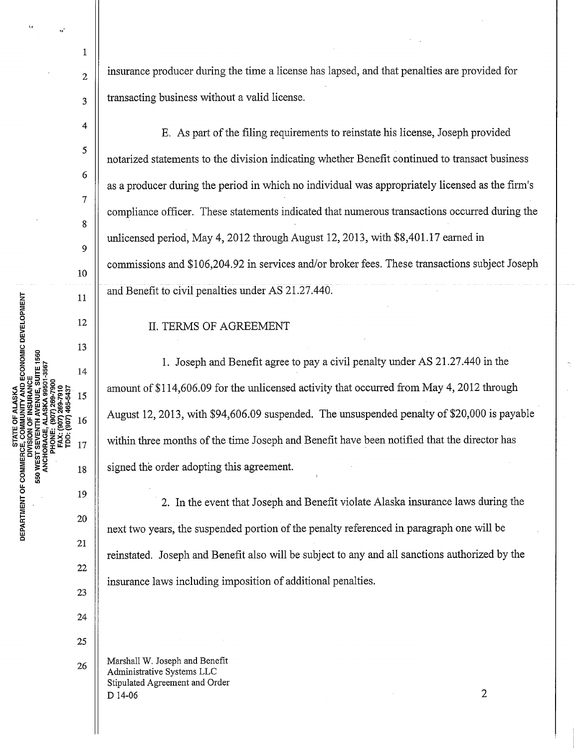insurance producer during the time a license has lapsed, and that penalties are provided for transacting business without a valid license.

E. As part of the filing requirements to reinstate his license, Joseph provided notarized statements to the division indicating whether Benefit continued to transact business as a producer during the period in which no individual was appropriately licensed as the firm's compliance officer. These statements indicated that numerous transactions occurred during the unlicensed period, May 4, 2012 through August 12, 2013, with \$8,401.17 earned in commissions and \$106,204.92 in services and/or broker fees. These transactions subject Joseph and Benefit to civil penalties under AS 21.27.440.

## II. TERMS OF AGREEMENT

1. Joseph and Benefit agree to pay a civil penalty under AS 21.27.440 in the amount of \$114,606.09 for the unlicensed activity that occurred from May 4, 2012 through August 12, 2013, with \$94,606.09 suspended. The unsuspended penalty of \$20,000 is payable within three months of the time Joseph and Benefit have been notified that the director has signed the order adopting this agreement.

2. In the event that Joseph and Benefit violate Alaska insurance laws during the next two years, the suspended portion of the penalty referenced in paragraph one will be reinstated. Joseph and Benefit also will be subject to any and all sanctions authorized by the insurance laws including imposition of additional penalties.

Marshall W. Joseph and Benefit Administrative Systems LLC Stipulated Agreement and Order  $D$  14-06 2

COMMUNITY AND ECONOMIC DEVELOPMENT STATE OF ALASKA DEPARTMENT OF COMMERCE 550 WEST

> 24 25

> > 26

22

23

1

2

3

4

5

6

7

8

 $\overline{Q}$ 

10

11

12

13

14

15

16

17

18

19

20

21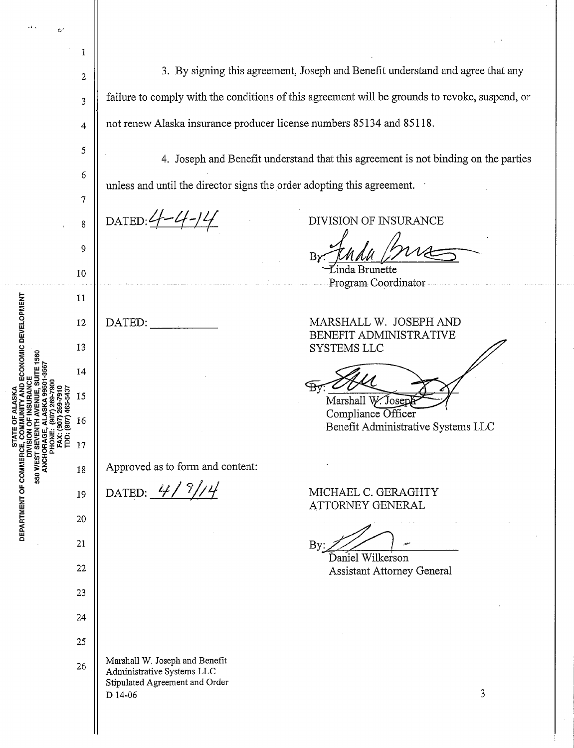| δ1                                      |    |                                                                                                |
|-----------------------------------------|----|------------------------------------------------------------------------------------------------|
|                                         | 1  |                                                                                                |
| ECONOMIC DEVELOPMENT<br><b>ITE 1560</b> | 2  | 3. By signing this agreement, Joseph and Benefit understand and agree that any                 |
|                                         | 3  | failure to comply with the conditions of this agreement will be grounds to revoke, suspend, or |
|                                         | 4  | not renew Alaska insurance producer license numbers 85134 and 85118.                           |
|                                         | 5  | 4. Joseph and Benefit understand that this agreement is not binding on the parties             |
|                                         | 6  | unless and until the director signs the order adopting this agreement.                         |
|                                         | 7  |                                                                                                |
|                                         | 8  | DATED: $4 - 4 - 14$<br>DIVISION OF INSURANCE                                                   |
|                                         | 9  | Bγ                                                                                             |
|                                         | 10 | inda Brunette<br>Program Coordinator                                                           |
|                                         | 11 |                                                                                                |
|                                         | 12 | MARSHALL W. JOSEPH AND<br>DATED:<br>BENEFIT ADMINISTRATIVE                                     |
|                                         | 13 | <b>SYSTEMS LLC</b>                                                                             |
|                                         | 14 |                                                                                                |
|                                         | 15 | Marshall W. Josep<br>Compliance Officer                                                        |
| ខ                                       | 16 | Benefit Administrative Systems LLC                                                             |
| ANCHORAGI<br>g                          | 17 |                                                                                                |
| 550 WEST                                | 18 | Approved as to form and content:                                                               |
| DEPARTMENT OF COMMER                    | 19 | DATED: $4/7$<br>MICHAEL C. GERAGHTY<br>ATTORNEY GENERAL                                        |
|                                         | 20 |                                                                                                |
|                                         | 21 | By:<br>Daniel Wilkerson                                                                        |
|                                         | 22 | <b>Assistant Attorney General</b>                                                              |
|                                         | 23 |                                                                                                |
|                                         | 24 |                                                                                                |
|                                         | 25 | Marshall W. Joseph and Benefit                                                                 |
|                                         | 26 | Administrative Systems LLC<br>Stipulated Agreement and Order                                   |
|                                         |    | 3<br>D 14-06                                                                                   |
|                                         |    |                                                                                                |

 $\ddot{\phantom{0}}$ 

 $\ddot{\phantom{0}}$ 

 $\frac{1}{2}$